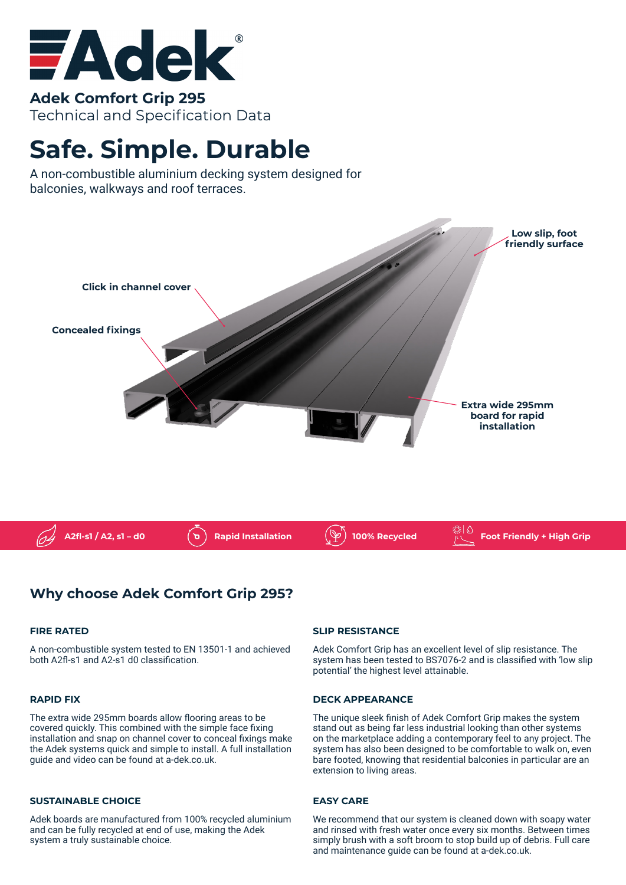

**Adek Comfort Grip 295** Technical and Specification Data

# **Safe. Simple. Durable**

A non-combustible aluminium decking system designed for balconies, walkways and roof terraces.



## **Why choose Adek Comfort Grip 295?**

#### **FIRE RATED**

A non-combustible system tested to EN 13501-1 and achieved both A2fl-s1 and A2-s1 d0 classification.

#### **RAPID FIX**

The extra wide 295mm boards allow flooring areas to be covered quickly. This combined with the simple face fixing installation and snap on channel cover to conceal fixings make the Adek systems quick and simple to install. A full installation guide and video can be found at a-dek.co.uk.

#### **SUSTAINABLE CHOICE**

Adek boards are manufactured from 100% recycled aluminium and can be fully recycled at end of use, making the Adek system a truly sustainable choice.

#### **SLIP RESISTANCE**

Adek Comfort Grip has an excellent level of slip resistance. The system has been tested to BS7076-2 and is classified with 'low slip potential' the highest level attainable.

#### **DECK APPEARANCE**

The unique sleek finish of Adek Comfort Grip makes the system stand out as being far less industrial looking than other systems on the marketplace adding a contemporary feel to any project. The system has also been designed to be comfortable to walk on, even bare footed, knowing that residential balconies in particular are an extension to living areas.

#### **EASY CARE**

We recommend that our system is cleaned down with soapy water and rinsed with fresh water once every six months. Between times simply brush with a soft broom to stop build up of debris. Full care and maintenance guide can be found at a-dek.co.uk.